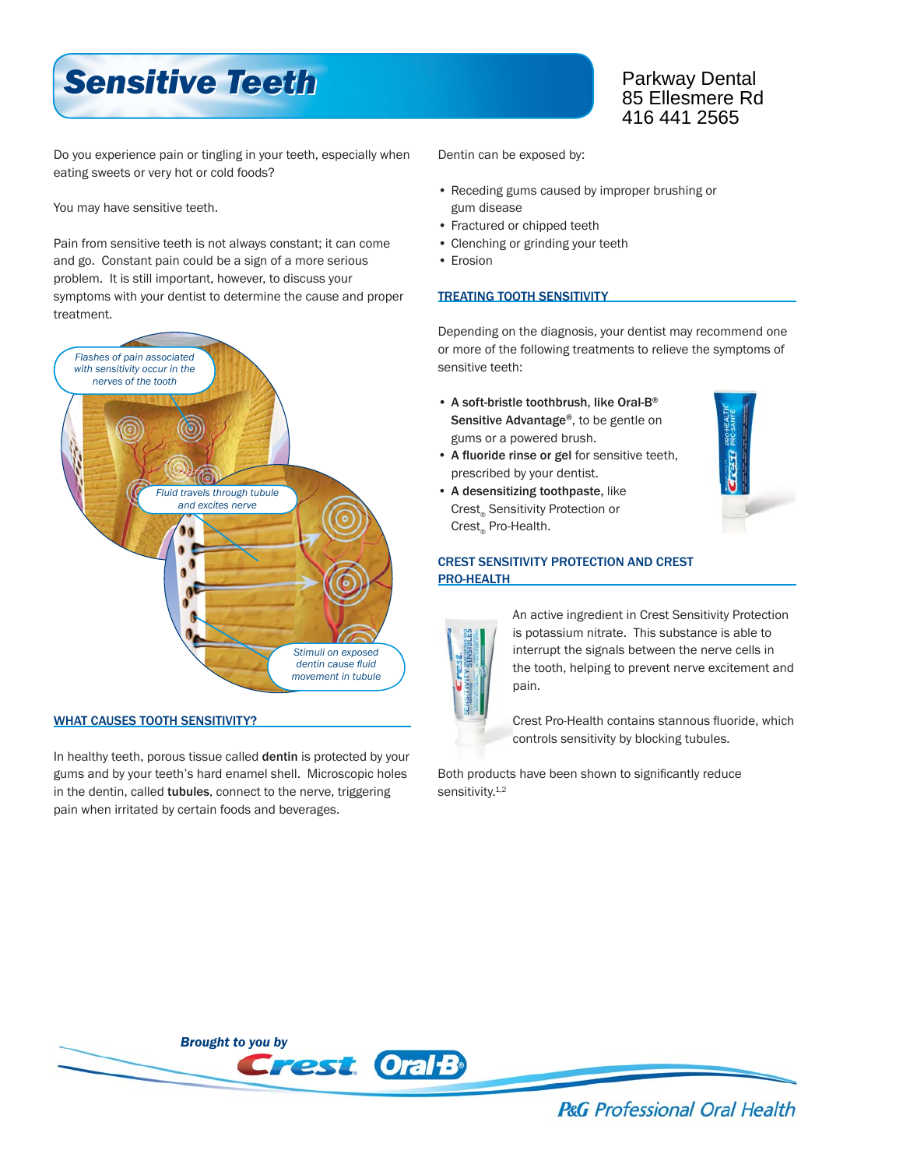# *Sensitive Teeth Sensitive Teeth*

### Parkway Dental 85 Ellesmere Rd 416 441 2565

Do you experience pain or tingling in your teeth, especially when eating sweets or very hot or cold foods?

You may have sensitive teeth.

Pain from sensitive teeth is not always constant; it can come and go. Constant pain could be a sign of a more serious problem. It is still important, however, to discuss your symptoms with your dentist to determine the cause and proper treatment.



#### WHAT CAUSES TOOTH SENSITIVITY?

In healthy teeth, porous tissue called dentin is protected by your gums and by your teeth's hard enamel shell. Microscopic holes in the dentin, called tubules, connect to the nerve, triggering pain when irritated by certain foods and beverages.

Dentin can be exposed by:

- Receding gums caused by improper brushing or gum disease
- Fractured or chipped teeth
- Clenching or grinding your teeth
- Erosion

#### TREATING TOOTH SENSITIVITY

Depending on the diagnosis, your dentist may recommend one or more of the following treatments to relieve the symptoms of sensitive teeth:

- A soft-bristle toothbrush, like Oral-B® Sensitive Advantage<sup>®</sup>, to be gentle on gums or a powered brush.
- A fluoride rinse or gel for sensitive teeth, prescribed by your dentist.
- A desensitizing toothpaste, like Crest® Sensitivity Protection or Crest<sub>®</sub> Pro-Health.



#### CREST SENSITIVITY PROTECTION AND CREST PRO-HEALTH



An active ingredient in Crest Sensitivity Protection is potassium nitrate. This substance is able to interrupt the signals between the nerve cells in the tooth, helping to prevent nerve excitement and pain.

Crest Pro-Health contains stannous fluoride, which controls sensitivity by blocking tubules.

Both products have been shown to significantly reduce sensitivity.<sup>1,2</sup>



**P&G** Professional Oral Health